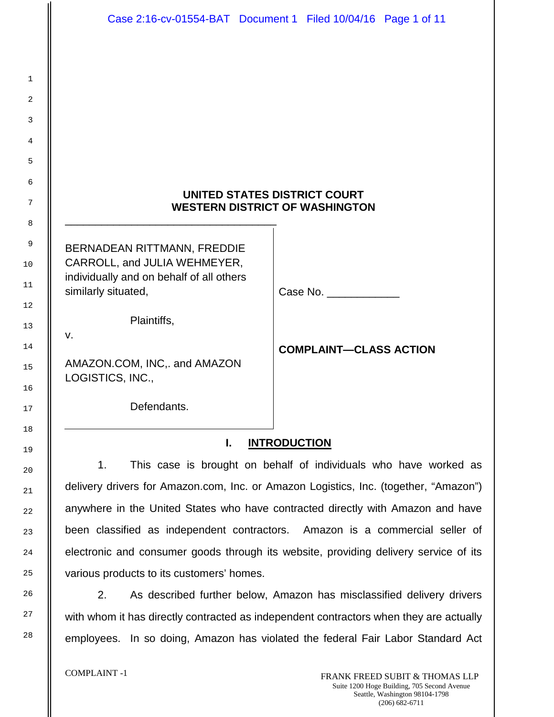# **UNITED STATES DISTRICT COURT WESTERN DISTRICT OF WASHINGTON**

BERNADEAN RITTMANN, FREDDIE CARROLL, and JULIA WEHMEYER, individually and on behalf of all others similarly situated,

\_\_\_\_\_\_\_\_\_\_\_\_\_\_\_\_\_\_\_\_\_\_\_\_\_\_\_\_\_\_\_\_\_\_\_

Plaintiffs,

v.

AMAZON.COM, INC,. and AMAZON LOGISTICS, INC.,

Defendants.

Case No.

**COMPLAINT—CLASS ACTION**

# **I. INTRODUCTION**

1. This case is brought on behalf of individuals who have worked as delivery drivers for Amazon.com, Inc. or Amazon Logistics, Inc. (together, "Amazon") anywhere in the United States who have contracted directly with Amazon and have been classified as independent contractors. Amazon is a commercial seller of electronic and consumer goods through its website, providing delivery service of its various products to its customers' homes.

2. As described further below, Amazon has misclassified delivery drivers with whom it has directly contracted as independent contractors when they are actually employees. In so doing, Amazon has violated the federal Fair Labor Standard Act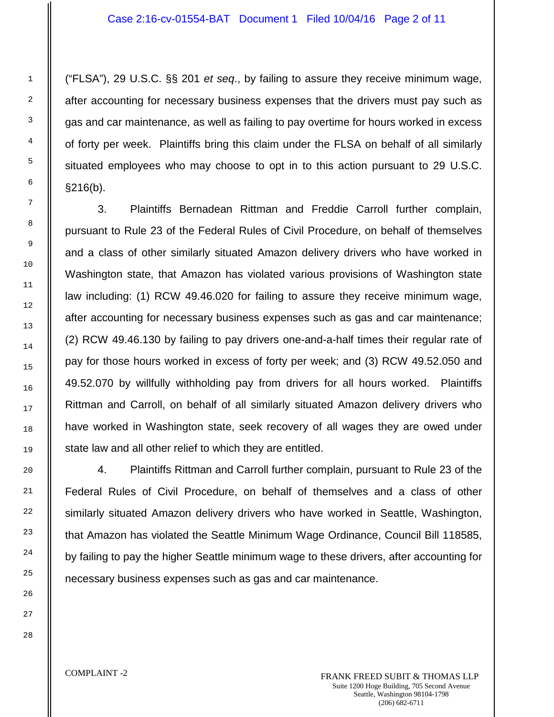("FLSA"), 29 U.S.C. §§ 201 *et seq*., by failing to assure they receive minimum wage, after accounting for necessary business expenses that the drivers must pay such as gas and car maintenance, as well as failing to pay overtime for hours worked in excess of forty per week. Plaintiffs bring this claim under the FLSA on behalf of all similarly situated employees who may choose to opt in to this action pursuant to 29 U.S.C. §216(b).

3. Plaintiffs Bernadean Rittman and Freddie Carroll further complain, pursuant to Rule 23 of the Federal Rules of Civil Procedure, on behalf of themselves and a class of other similarly situated Amazon delivery drivers who have worked in Washington state, that Amazon has violated various provisions of Washington state law including: (1) RCW 49.46.020 for failing to assure they receive minimum wage, after accounting for necessary business expenses such as gas and car maintenance; (2) RCW 49.46.130 by failing to pay drivers one-and-a-half times their regular rate of pay for those hours worked in excess of forty per week; and (3) RCW 49.52.050 and 49.52.070 by willfully withholding pay from drivers for all hours worked. Plaintiffs Rittman and Carroll, on behalf of all similarly situated Amazon delivery drivers who have worked in Washington state, seek recovery of all wages they are owed under state law and all other relief to which they are entitled.

4. Plaintiffs Rittman and Carroll further complain, pursuant to Rule 23 of the Federal Rules of Civil Procedure, on behalf of themselves and a class of other similarly situated Amazon delivery drivers who have worked in Seattle, Washington, that Amazon has violated the Seattle Minimum Wage Ordinance, Council Bill 118585, by failing to pay the higher Seattle minimum wage to these drivers, after accounting for necessary business expenses such as gas and car maintenance.

COMPLAINT -2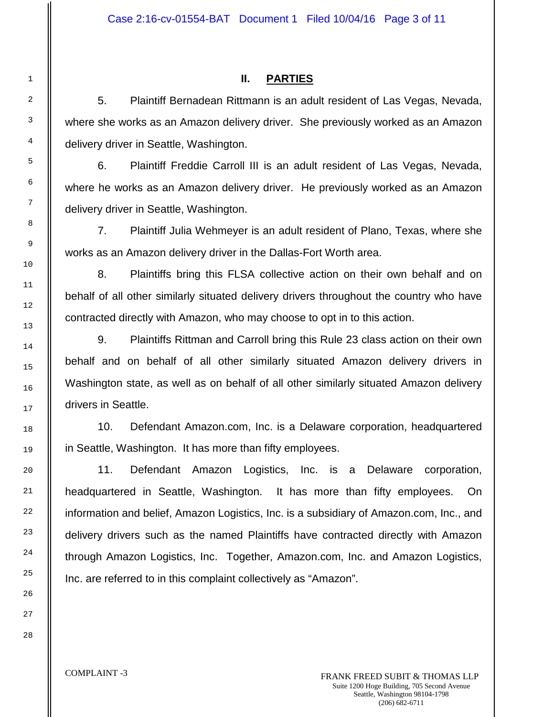# **II. PARTIES**

5. Plaintiff Bernadean Rittmann is an adult resident of Las Vegas, Nevada, where she works as an Amazon delivery driver. She previously worked as an Amazon delivery driver in Seattle, Washington.

6. Plaintiff Freddie Carroll III is an adult resident of Las Vegas, Nevada, where he works as an Amazon delivery driver. He previously worked as an Amazon delivery driver in Seattle, Washington.

7. Plaintiff Julia Wehmeyer is an adult resident of Plano, Texas, where she works as an Amazon delivery driver in the Dallas-Fort Worth area.

8. Plaintiffs bring this FLSA collective action on their own behalf and on behalf of all other similarly situated delivery drivers throughout the country who have contracted directly with Amazon, who may choose to opt in to this action.

9. Plaintiffs Rittman and Carroll bring this Rule 23 class action on their own behalf and on behalf of all other similarly situated Amazon delivery drivers in Washington state, as well as on behalf of all other similarly situated Amazon delivery drivers in Seattle.

10. Defendant Amazon.com, Inc. is a Delaware corporation, headquartered in Seattle, Washington. It has more than fifty employees.

11. Defendant Amazon Logistics, Inc. is a Delaware corporation, headquartered in Seattle, Washington. It has more than fifty employees. On information and belief, Amazon Logistics, Inc. is a subsidiary of Amazon.com, Inc., and delivery drivers such as the named Plaintiffs have contracted directly with Amazon through Amazon Logistics, Inc. Together, Amazon.com, Inc. and Amazon Logistics, Inc. are referred to in this complaint collectively as "Amazon".

1

2

3

4

5

6

7

8

9

10

11

#### COMPLAINT -3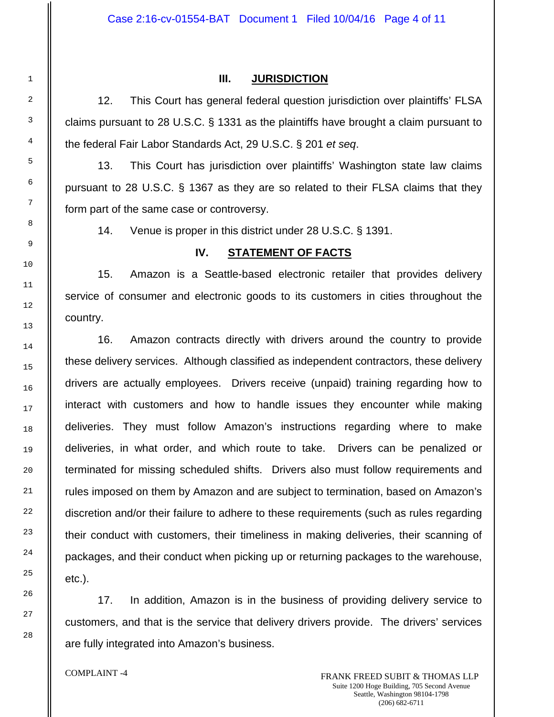#### **III. JURISDICTION**

12. This Court has general federal question jurisdiction over plaintiffs' FLSA claims pursuant to 28 U.S.C. § 1331 as the plaintiffs have brought a claim pursuant to the federal Fair Labor Standards Act, 29 U.S.C. § 201 *et seq*.

13. This Court has jurisdiction over plaintiffs' Washington state law claims pursuant to 28 U.S.C. § 1367 as they are so related to their FLSA claims that they form part of the same case or controversy.

14. Venue is proper in this district under 28 U.S.C. § 1391.

## **IV. STATEMENT OF FACTS**

15. Amazon is a Seattle-based electronic retailer that provides delivery service of consumer and electronic goods to its customers in cities throughout the country.

16. Amazon contracts directly with drivers around the country to provide these delivery services. Although classified as independent contractors, these delivery drivers are actually employees. Drivers receive (unpaid) training regarding how to interact with customers and how to handle issues they encounter while making deliveries. They must follow Amazon's instructions regarding where to make deliveries, in what order, and which route to take. Drivers can be penalized or terminated for missing scheduled shifts. Drivers also must follow requirements and rules imposed on them by Amazon and are subject to termination, based on Amazon's discretion and/or their failure to adhere to these requirements (such as rules regarding their conduct with customers, their timeliness in making deliveries, their scanning of packages, and their conduct when picking up or returning packages to the warehouse, etc.).

17. In addition, Amazon is in the business of providing delivery service to customers, and that is the service that delivery drivers provide. The drivers' services are fully integrated into Amazon's business.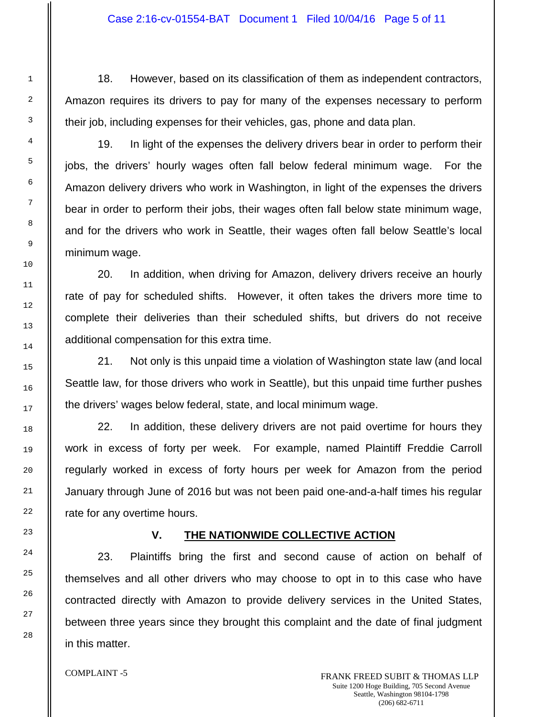18. However, based on its classification of them as independent contractors, Amazon requires its drivers to pay for many of the expenses necessary to perform their job, including expenses for their vehicles, gas, phone and data plan.

19. In light of the expenses the delivery drivers bear in order to perform their jobs, the drivers' hourly wages often fall below federal minimum wage. For the Amazon delivery drivers who work in Washington, in light of the expenses the drivers bear in order to perform their jobs, their wages often fall below state minimum wage, and for the drivers who work in Seattle, their wages often fall below Seattle's local minimum wage.

20. In addition, when driving for Amazon, delivery drivers receive an hourly rate of pay for scheduled shifts. However, it often takes the drivers more time to complete their deliveries than their scheduled shifts, but drivers do not receive additional compensation for this extra time.

21. Not only is this unpaid time a violation of Washington state law (and local Seattle law, for those drivers who work in Seattle), but this unpaid time further pushes the drivers' wages below federal, state, and local minimum wage.

22. In addition, these delivery drivers are not paid overtime for hours they work in excess of forty per week. For example, named Plaintiff Freddie Carroll regularly worked in excess of forty hours per week for Amazon from the period January through June of 2016 but was not been paid one-and-a-half times his regular rate for any overtime hours.

## **V. THE NATIONWIDE COLLECTIVE ACTION**

23. Plaintiffs bring the first and second cause of action on behalf of themselves and all other drivers who may choose to opt in to this case who have contracted directly with Amazon to provide delivery services in the United States, between three years since they brought this complaint and the date of final judgment in this matter.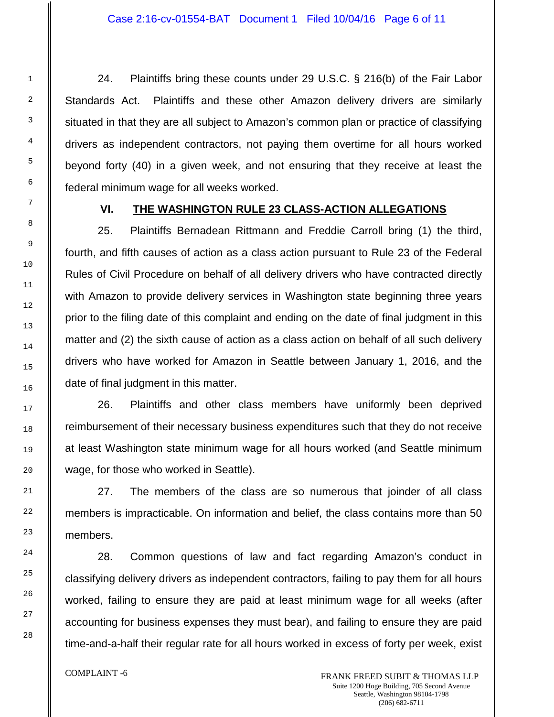24. Plaintiffs bring these counts under 29 U.S.C. § 216(b) of the Fair Labor Standards Act. Plaintiffs and these other Amazon delivery drivers are similarly situated in that they are all subject to Amazon's common plan or practice of classifying drivers as independent contractors, not paying them overtime for all hours worked beyond forty (40) in a given week, and not ensuring that they receive at least the federal minimum wage for all weeks worked.

# **VI. THE WASHINGTON RULE 23 CLASS-ACTION ALLEGATIONS**

25. Plaintiffs Bernadean Rittmann and Freddie Carroll bring (1) the third, fourth, and fifth causes of action as a class action pursuant to Rule 23 of the Federal Rules of Civil Procedure on behalf of all delivery drivers who have contracted directly with Amazon to provide delivery services in Washington state beginning three years prior to the filing date of this complaint and ending on the date of final judgment in this matter and (2) the sixth cause of action as a class action on behalf of all such delivery drivers who have worked for Amazon in Seattle between January 1, 2016, and the date of final judgment in this matter.

26. Plaintiffs and other class members have uniformly been deprived reimbursement of their necessary business expenditures such that they do not receive at least Washington state minimum wage for all hours worked (and Seattle minimum wage, for those who worked in Seattle).

27. The members of the class are so numerous that joinder of all class members is impracticable. On information and belief, the class contains more than 50 members.

28. Common questions of law and fact regarding Amazon's conduct in classifying delivery drivers as independent contractors, failing to pay them for all hours worked, failing to ensure they are paid at least minimum wage for all weeks (after accounting for business expenses they must bear), and failing to ensure they are paid time-and-a-half their regular rate for all hours worked in excess of forty per week, exist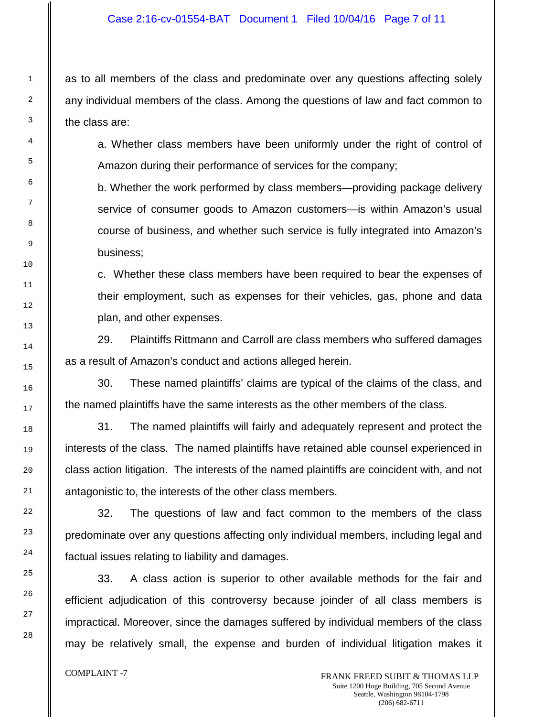as to all members of the class and predominate over any questions affecting solely any individual members of the class. Among the questions of law and fact common to the class are:

a. Whether class members have been uniformly under the right of control of Amazon during their performance of services for the company;

b. Whether the work performed by class members—providing package delivery service of consumer goods to Amazon customers—is within Amazon's usual course of business, and whether such service is fully integrated into Amazon's business;

c. Whether these class members have been required to bear the expenses of their employment, such as expenses for their vehicles, gas, phone and data plan, and other expenses.

29. Plaintiffs Rittmann and Carroll are class members who suffered damages as a result of Amazon's conduct and actions alleged herein.

30. These named plaintiffs' claims are typical of the claims of the class, and the named plaintiffs have the same interests as the other members of the class.

31. The named plaintiffs will fairly and adequately represent and protect the interests of the class. The named plaintiffs have retained able counsel experienced in class action litigation. The interests of the named plaintiffs are coincident with, and not antagonistic to, the interests of the other class members.

32. The questions of law and fact common to the members of the class predominate over any questions affecting only individual members, including legal and factual issues relating to liability and damages.

33. A class action is superior to other available methods for the fair and efficient adjudication of this controversy because joinder of all class members is impractical. Moreover, since the damages suffered by individual members of the class may be relatively small, the expense and burden of individual litigation makes it

1

2

3

4

5

6

7

8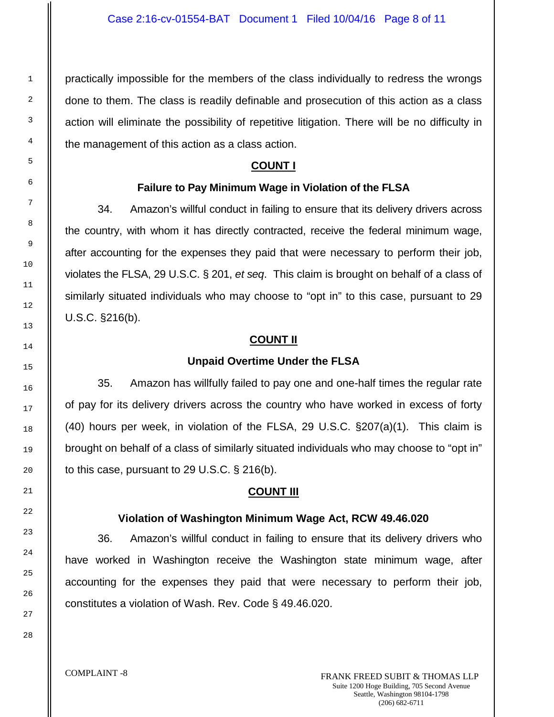practically impossible for the members of the class individually to redress the wrongs done to them. The class is readily definable and prosecution of this action as a class action will eliminate the possibility of repetitive litigation. There will be no difficulty in the management of this action as a class action.

# **COUNT I**

## **Failure to Pay Minimum Wage in Violation of the FLSA**

34. Amazon's willful conduct in failing to ensure that its delivery drivers across the country, with whom it has directly contracted, receive the federal minimum wage, after accounting for the expenses they paid that were necessary to perform their job, violates the FLSA, 29 U.S.C. § 201, *et seq*. This claim is brought on behalf of a class of similarly situated individuals who may choose to "opt in" to this case, pursuant to 29 U.S.C. §216(b).

## **COUNT II**

#### **Unpaid Overtime Under the FLSA**

35. Amazon has willfully failed to pay one and one-half times the regular rate of pay for its delivery drivers across the country who have worked in excess of forty (40) hours per week, in violation of the FLSA, 29 U.S.C. §207(a)(1). This claim is brought on behalf of a class of similarly situated individuals who may choose to "opt in" to this case, pursuant to 29 U.S.C. § 216(b).

#### **COUNT III**

#### **Violation of Washington Minimum Wage Act, RCW 49.46.020**

36. Amazon's willful conduct in failing to ensure that its delivery drivers who have worked in Washington receive the Washington state minimum wage, after accounting for the expenses they paid that were necessary to perform their job, constitutes a violation of Wash. Rev. Code § 49.46.020.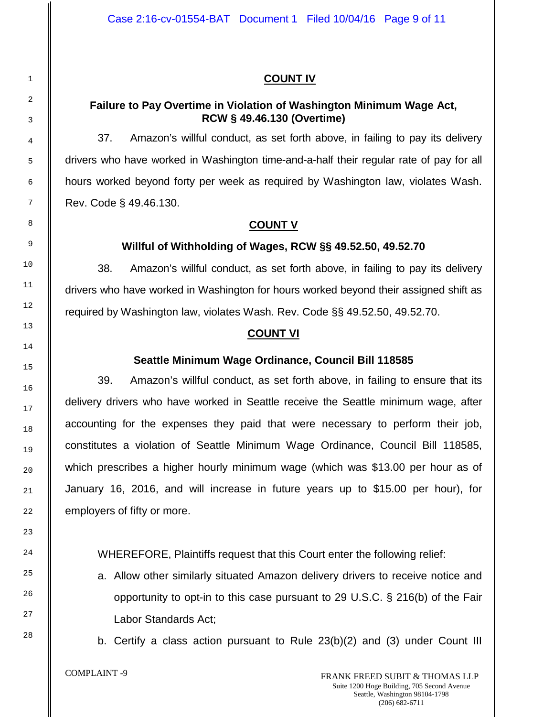# **COUNT IV**

# **Failure to Pay Overtime in Violation of Washington Minimum Wage Act, RCW § 49.46.130 (Overtime)**

37. Amazon's willful conduct, as set forth above, in failing to pay its delivery drivers who have worked in Washington time-and-a-half their regular rate of pay for all hours worked beyond forty per week as required by Washington law, violates Wash. Rev. Code § 49.46.130.

# **COUNT V**

# **Willful of Withholding of Wages, RCW §§ 49.52.50, 49.52.70**

38. Amazon's willful conduct, as set forth above, in failing to pay its delivery drivers who have worked in Washington for hours worked beyond their assigned shift as required by Washington law, violates Wash. Rev. Code §§ 49.52.50, 49.52.70.

# **COUNT VI**

# **Seattle Minimum Wage Ordinance, Council Bill 118585**

39. Amazon's willful conduct, as set forth above, in failing to ensure that its delivery drivers who have worked in Seattle receive the Seattle minimum wage, after accounting for the expenses they paid that were necessary to perform their job, constitutes a violation of Seattle Minimum Wage Ordinance, Council Bill 118585, which prescribes a higher hourly minimum wage (which was \$13.00 per hour as of January 16, 2016, and will increase in future years up to \$15.00 per hour), for employers of fifty or more.

WHEREFORE, Plaintiffs request that this Court enter the following relief:

a. Allow other similarly situated Amazon delivery drivers to receive notice and opportunity to opt-in to this case pursuant to 29 U.S.C. § 216(b) of the Fair Labor Standards Act;

b. Certify a class action pursuant to Rule 23(b)(2) and (3) under Count III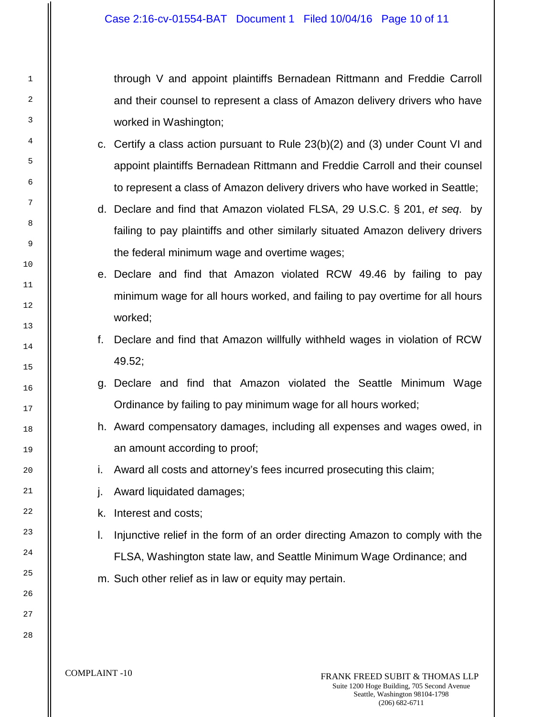through V and appoint plaintiffs Bernadean Rittmann and Freddie Carroll and their counsel to represent a class of Amazon delivery drivers who have worked in Washington;

- c. Certify a class action pursuant to Rule 23(b)(2) and (3) under Count VI and appoint plaintiffs Bernadean Rittmann and Freddie Carroll and their counsel to represent a class of Amazon delivery drivers who have worked in Seattle;
- d. Declare and find that Amazon violated FLSA, 29 U.S.C. § 201, *et seq*. by failing to pay plaintiffs and other similarly situated Amazon delivery drivers the federal minimum wage and overtime wages;
- e. Declare and find that Amazon violated RCW 49.46 by failing to pay minimum wage for all hours worked, and failing to pay overtime for all hours worked;
- f. Declare and find that Amazon willfully withheld wages in violation of RCW 49.52;
- g. Declare and find that Amazon violated the Seattle Minimum Wage Ordinance by failing to pay minimum wage for all hours worked;
- h. Award compensatory damages, including all expenses and wages owed, in an amount according to proof;
- i. Award all costs and attorney's fees incurred prosecuting this claim;
- j. Award liquidated damages;
- k. Interest and costs;
- l. Injunctive relief in the form of an order directing Amazon to comply with the FLSA, Washington state law, and Seattle Minimum Wage Ordinance; and
- m. Such other relief as in law or equity may pertain.